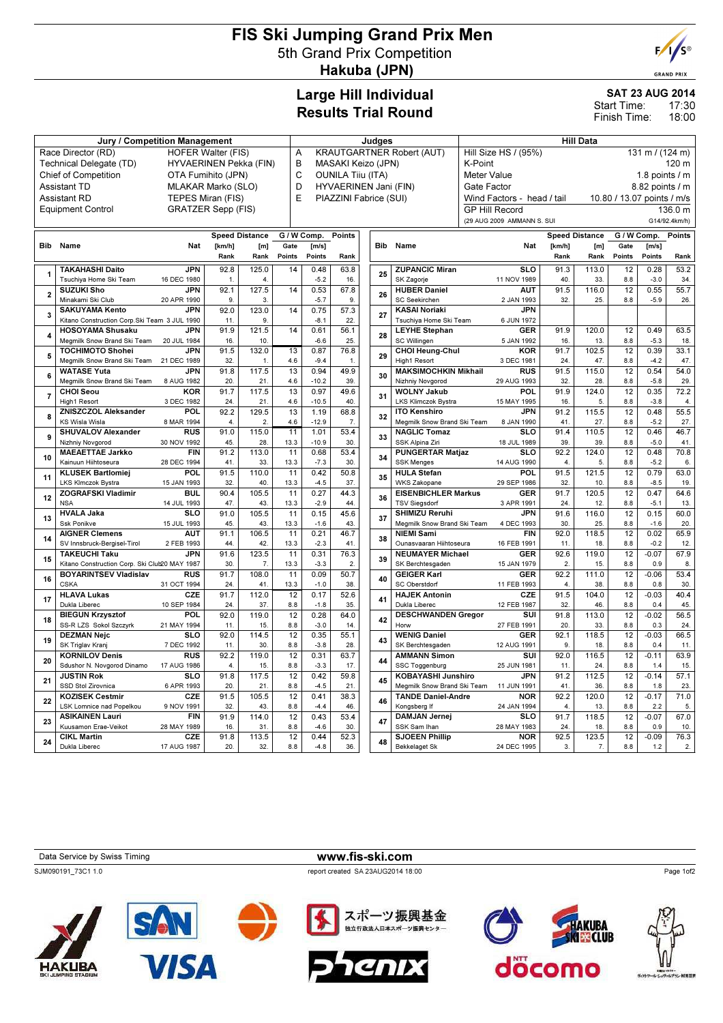# FIS Ski Jumping Grand Prix Men 5th Grand Prix Competition Hakuba (JPN)



**GRAND PRIX** 

### Large Hill Individual Results Trial Round

# SAT 23 AUG 2014

17:30 18:00 Start Time: Finish Time:

| <b>Jury / Competition Management</b>                     |                                                                               |                           |                       |                                         |                                       | Judges          |               |     |                                | Hill Data                                        |                       |                            |                            |                       |                        |                |               |
|----------------------------------------------------------|-------------------------------------------------------------------------------|---------------------------|-----------------------|-----------------------------------------|---------------------------------------|-----------------|---------------|-----|--------------------------------|--------------------------------------------------|-----------------------|----------------------------|----------------------------|-----------------------|------------------------|----------------|---------------|
| Race Director (RD)<br><b>HOFER Walter (FIS)</b>          |                                                                               |                           |                       |                                         | <b>KRAUTGARTNER Robert (AUT)</b><br>A |                 |               |     |                                | Hill Size HS / (95%)<br>131 m / $(124 m)$        |                       |                            |                            |                       |                        |                |               |
| Technical Delegate (TD)<br><b>HYVAERINEN Pekka (FIN)</b> |                                                                               |                           |                       | B<br>MASAKI Keizo (JPN)                 |                                       |                 |               |     | K-Point<br>120 m               |                                                  |                       |                            |                            |                       |                        |                |               |
| <b>Chief of Competition</b><br>OTA Fumihito (JPN)        |                                                                               |                           |                       | $\mathsf C$<br><b>OUNILA Tiju (ITA)</b> |                                       |                 |               |     | Meter Value<br>1.8 points $/m$ |                                                  |                       |                            |                            |                       |                        |                |               |
| <b>Assistant TD</b><br>MLAKAR Marko (SLO)                |                                                                               |                           |                       | D<br>HYVAERINEN Jani (FIN)              |                                       |                 |               |     | Gate Factor                    |                                                  |                       |                            |                            | 8.82 points / m       |                        |                |               |
| <b>Assistant RD</b><br>TEPES Miran (FIS)                 |                                                                               |                           |                       | E<br>PIAZZINI Fabrice (SUI)             |                                       |                 |               |     |                                | Wind Factors - head / tail                       |                       |                            | 10.80 / 13.07 points / m/s |                       |                        |                |               |
|                                                          | <b>Equipment Control</b>                                                      | <b>GRATZER Sepp (FIS)</b> |                       |                                         |                                       |                 |               |     |                                |                                                  | <b>GP Hill Record</b> |                            |                            |                       |                        |                | 136.0 m       |
|                                                          |                                                                               |                           |                       |                                         |                                       |                 |               |     |                                |                                                  |                       | (29 AUG 2009 AMMANN S. SUI |                            |                       |                        |                | G14/92.4km/h) |
|                                                          |                                                                               |                           |                       |                                         |                                       |                 |               |     |                                |                                                  |                       |                            |                            |                       |                        |                |               |
|                                                          |                                                                               |                           | <b>Speed Distance</b> |                                         |                                       | G / W Comp.     | <b>Points</b> |     |                                |                                                  |                       |                            |                            | <b>Speed Distance</b> | G / W Comp.            |                | <b>Points</b> |
|                                                          | <b>Bib</b> Name                                                               | <b>Nat</b>                | [km/h]                | [m]                                     | Gate                                  | [m/s]           |               |     | <b>Bib</b>                     | Name                                             |                       | Nat                        | [km/h]                     | [m]                   | Gate                   | [m/s]          |               |
|                                                          |                                                                               |                           | Rank                  | Rank                                    | Points                                | Points          | Rank          |     |                                |                                                  |                       |                            | Rank                       | Rank                  | Points                 | Points         | Rank          |
|                                                          | <b>TAKAHASHI Daito</b>                                                        | <b>JPN</b>                | 92.8                  | 125.0                                   | 14                                    | 0.48            | 63.8          |     |                                | <b>ZUPANCIC Miran</b>                            |                       | $\overline{\text{SLO}}$    | 91.3                       | 113.0                 | 12                     | 0.28           | 53.2          |
|                                                          | Tsuchiya Home Ski Team                                                        | 16 DEC 1980               | 1.                    | 4.                                      |                                       | $-5.2$          | 16.           | 25  |                                | SK Zagorje                                       |                       | 11 NOV 1989                | 40.                        | 33.                   | 8.8                    | $-3.0$         | 34.           |
| $\overline{2}$                                           | <b>SUZUKI Sho</b>                                                             | <b>JPN</b>                | 92.1                  | 127.5                                   | 14                                    | 0.53            | 67.8          |     | 26                             | <b>HUBER Daniel</b>                              |                       | <b>AUT</b>                 | 91.5                       | 116.0                 | 12                     | 0.55           | 55.7          |
|                                                          | Minakami Ski Club                                                             | 20 APR 1990               | 9.                    | 3.                                      |                                       | $-5.7$          | 9.            |     |                                | <b>SC Seekirchen</b>                             |                       | 2 JAN 1993                 | 32.                        | 25.                   | 8.8                    | $-5.9$         | 26.           |
| 3                                                        | <b>SAKUYAMA Kento</b>                                                         | <b>JPN</b>                | 92.0                  | 123.0                                   | 14                                    | 0.75            | 57.3          |     | 27                             | <b>KASAI Noriaki</b>                             |                       | <b>JPN</b>                 |                            |                       |                        |                |               |
|                                                          | Kitano Construction Corp. Ski Team 3 JUL 1990                                 |                           | 11.                   | 9                                       |                                       | $-8.1$          | 22.           |     |                                | Tsuchiya Home Ski Team                           |                       | 6 JUN 1972                 |                            |                       |                        |                |               |
| $\overline{\mathbf{4}}$                                  | <b>HOSOYAMA Shusaku</b>                                                       | <b>JPN</b>                | 91.9                  | 121.5                                   | 14                                    | 0.61            | 56.1          |     | 28                             | <b>LEYHE Stephan</b>                             |                       | <b>GER</b>                 | 91.9                       | 120.0                 | 12                     | 0.49           | 63.5          |
|                                                          | Megmilk Snow Brand Ski Team                                                   | 20 JUL 1984               | 16.                   | 10.                                     |                                       | $-6.6$          | 25.           |     |                                | SC Willingen                                     |                       | 5 JAN 1992                 | 16.                        | 13.                   | 8.8                    | $-5.3$         | 18.           |
| 5                                                        | <b>TOCHIMOTO Shohei</b>                                                       | <b>JPN</b>                | 91.5                  | 132.0                                   | 13                                    | 0.87            | 76.8          |     | <b>CHOI Heung-Chul</b><br>29   |                                                  |                       | <b>KOR</b>                 | 91.7                       | 102.5                 | 12                     | 0.39           | 33.1          |
|                                                          | Megmilk Snow Brand Ski Team 21 DEC 1989                                       |                           | 32.                   | $\mathbf{1}$                            | 4.6                                   | $-9.4$          | 1.            |     | High1 Resort                   |                                                  |                       | 3 DEC 1981                 | 24.                        | 47.                   | 8.8                    | $-4.2$         | 47.           |
| 6                                                        | <b>WATASE Yuta</b><br>Megmilk Snow Brand Ski Team                             | <b>JPN</b><br>8 AUG 1982  | 91.8                  | 117.5                                   | 13                                    | 0.94            | 49.9<br>39.   |     | 30                             | <b>MAKSIMOCHKIN Mikhail</b>                      |                       | RUS                        | 91.5<br>32.                | 115.0                 | 12<br>8.8              | 0.54           | 54.0          |
|                                                          | <b>CHOI Seou</b>                                                              | <b>KOR</b>                | 20.<br>91.7           | 21.                                     | 4.6<br>13                             | $-10.2$         |               |     |                                | Nizhniy Novgorod                                 |                       | 29 AUG 1993<br><b>POL</b>  | 91.9                       | 28.                   |                        | $-5.8$         | 29.           |
| $\overline{7}$                                           | High1 Resort                                                                  | 3 DEC 1982                | 24.                   | 117.5<br>21.                            | 4.6                                   | 0.97<br>$-10.5$ | 49.6<br>40.   |     | 31                             | <b>WOLNY Jakub</b><br><b>LKS Klimczok Bystra</b> |                       | 15 MAY 1995                | 16.                        | 124.0<br>5.           | 12<br>8.8              | 0.35<br>$-3.8$ | 72.2<br>4.    |
|                                                          | <b>ZNISZCZOL Aleksander</b>                                                   | <b>POL</b>                | 92.2                  | 129.5                                   | 13                                    | 1.19            | 68.8          |     |                                | <b>ITO Kenshiro</b>                              |                       | <b>JPN</b>                 | 91.2                       | 115.5                 | 12                     | 0.48           | 55.5          |
| 8                                                        | <b>KS Wisla Wisla</b>                                                         | 8 MAR 1994                | 4.                    | 2.                                      | 4.6                                   | $-12.9$         | 7.            |     | 32                             | Megmilk Snow Brand Ski Team                      |                       | 8 JAN 1990                 | 41.                        | 27.                   | 8.8                    | $-5.2$         | 27.           |
|                                                          | <b>SHUVALOV Alexander</b>                                                     | <b>RUS</b>                | 91.0                  | 115.0                                   | 11                                    | 1.01            | 53.4          |     |                                | <b>NAGLIC Tomaz</b>                              |                       | <b>SLO</b>                 | 91.4                       | 110.5                 | 12                     | 0.46           | 46.7          |
| 9                                                        | Nizhniy Novgorod                                                              | 30 NOV 1992               | 45.                   | 28.                                     | 13.3                                  | $-10.9$         | 30.           |     | 33                             | SSK Alpina Ziri                                  |                       | 18 JUL 1989                | 39.                        | 39.                   | 8.8                    | $-5.0$         | 41.           |
|                                                          | <b>MAEAETTAE Jarkko</b>                                                       | FIN                       | 91.2                  | 113.0                                   | 11                                    | 0.68            | 53.4          |     |                                | <b>PUNGERTAR Matjaz</b>                          |                       | $\overline{\text{SLO}}$    | 92.2                       | 124.0                 | 12                     | 0.48           | 70.8          |
| 10                                                       | Kainuun Hiihtoseura                                                           | 28 DEC 1994               | 41.                   | 33.                                     | 13.3                                  | $-7.3$          | 30.           |     | 34                             | <b>SSK Menges</b>                                |                       | 14 AUG 1990                | 4.                         | 5.                    | 8.8                    | $-5.2$         | 6.            |
|                                                          | <b>KLUSEK Bartlomiej</b>                                                      | POL                       | 91.5                  | 110.0                                   | $\overline{11}$                       | 0.42            | 50.8          |     |                                | <b>HULA Stefan</b>                               |                       | POL                        | 91.5                       | 121.5                 | $\overline{12}$        | 0.79           | 63.0          |
| 11                                                       | <b>LKS Klmczok Bystra</b>                                                     | 15 JAN 1993               | 32.                   | 40.                                     | 13.3                                  | $-4.5$          | 37.           |     | 35                             | <b>WKS Zakopane</b>                              |                       | 29 SEP 1986                | 32.                        | 10.                   | 8.8                    | $-8.5$         | 19.           |
| 12                                                       | <b>ZOGRAFSKI Vladimir</b>                                                     | <b>BUL</b>                | 90.4                  | 105.5                                   | 11                                    | 0.27            | 44.3          |     | 36                             | <b>EISENBICHLER Markus</b>                       |                       | <b>GER</b>                 | 91.7                       | 120.5                 | 12                     | 0.47           | 64.6          |
|                                                          | <b>NSA</b>                                                                    | 14 JUL 1993               | 47.                   | 43.                                     | 13.3                                  | $-2.9$          | 44.           |     |                                | <b>TSV Siegsdorf</b>                             |                       | 3 APR 1991                 | 24.                        | 12.                   | 8.8                    | $-5.1$         | 13.           |
| 13                                                       | <b>HVALA Jaka</b>                                                             | $\overline{\text{SLO}}$   | 91.0                  | 105.5                                   | 11                                    | 0.15            | 45.6          | 37  |                                | <b>SHIMIZU Reruhi</b>                            |                       | <b>JPN</b>                 | 91.6                       | 116.0                 | 12                     | 0.15           | 60.0          |
|                                                          | Ssk Ponikve                                                                   | 15 JUL 1993               | 45.                   | 43.                                     | 13.3                                  | $-1.6$          | 43.           |     |                                | Megmilk Snow Brand Ski Team                      |                       | 4 DEC 1993                 | 30                         | 25.                   | 8.8                    | $-1.6$         | 20            |
| 14                                                       | <b>AIGNER Clemens</b>                                                         | <b>AUT</b>                | 91.1                  | 106.5                                   | 11                                    | 0.21            | 46.7          |     | 38                             | <b>NIEMI Sami</b>                                |                       | <b>FIN</b>                 | 92.0                       | 118.5                 | 12                     | 0.02           | 65.9          |
|                                                          | SV Innsbruck-Bergisel-Tirol                                                   | 2 FEB 1993                | 44.                   | 42.                                     | 13.3                                  | $-2.3$          | 41.           |     |                                | Ounasvaaran Hiihtoseura                          |                       | 16 FEB 1991                | 11.                        | 18.                   | 8.8                    | $-0.2$         | 12.           |
| 15                                                       | <b>TAKEUCHI Taku</b>                                                          | <b>JPN</b>                | 91.6                  | 123.5                                   | 11                                    | 0.31            | 76.3          |     | 39                             | <b>NEUMAYER Michael</b>                          |                       | <b>GER</b>                 | 92.6                       | 119.0                 | 12                     | $-0.07$        | 67.9          |
|                                                          | Kitano Construction Corp. Ski Club20 MAY 1987<br><b>BOYARINTSEV Vladislav</b> | <b>RUS</b>                | 30.<br>91.7           | 7.                                      | 13.3                                  | $-3.3$          | 2.            |     |                                | SK Berchtesgaden<br><b>GEIGER Karl</b>           |                       | 15 JAN 1979<br><b>GER</b>  | 2.                         | 15.                   | 8.8<br>$\overline{12}$ | 0.9            | 8.            |
| 16                                                       | <b>CSKA</b>                                                                   | 31 OCT 1994               | 24.                   | 108.0<br>41.                            | 11<br>13.3                            | 0.09<br>$-1.0$  | 50.7<br>38.   |     | 40                             | SC Oberstdorf                                    |                       | 11 FEB 1993                | 92.2<br>4.                 | 111.0<br>38.          | 8.8                    | $-0.06$<br>0.8 | 53.4<br>30.   |
|                                                          | <b>HLAVA Lukas</b>                                                            | CZE                       | 91.7                  | 112.0                                   | 12                                    | 0.17            | 52.6          |     |                                | <b>HAJEK Antonin</b>                             |                       | CZE                        | 91.5                       | 104.0                 | 12                     | $-0.03$        | 40.4          |
| 17                                                       | Dukla Liberec                                                                 | 10 SEP 1984               | 24.                   | 37.                                     | 8.8                                   | $-1.8$          | 35.           |     | 41                             | Dukla Liberec                                    |                       | 12 FEB 1987                | 32.                        | 46.                   | 8.8                    | 0.4            | 45.           |
|                                                          | <b>BIEGUN Krzysztof</b>                                                       | <b>POL</b>                | 92.0                  | 119.0                                   | 12                                    | 0.28            | 64.0          |     |                                | <b>DESCHWANDEN Gregor</b>                        |                       | SUI                        | 91.8                       | 113.0                 | 12                     | $-0.02$        | 56.5          |
| 18                                                       | SS-R LZS Sokol Szczyrk                                                        | 21 MAY 1994               | 11.                   | 15.                                     | 8.8                                   | $-3.0$          | 14.           |     | 42                             | Horw                                             |                       | 27 FEB 1991                | 20.                        | 33.                   | 8.8                    | 0.3            | 24.           |
|                                                          | <b>DEZMAN Neic</b>                                                            | <b>SLO</b>                | 92.0                  | 114.5                                   | 12                                    | 0.35            | 55.1          |     |                                | <b>WENIG Daniel</b>                              |                       | <b>GER</b>                 | 92.1                       | 118.5                 | 12                     | $-0.03$        | 66.5          |
| 19                                                       | SK Triglav Kranj                                                              | 7 DEC 1992                | 11.                   | 30.                                     | 8.8                                   | $-3.8$          | 28.           |     | 43                             | SK Berchtesgaden                                 |                       | 12 AUG 1991                | 9.                         | 18.                   | 8.8                    | 0.4            | 11.           |
|                                                          | <b>KORNILOV Denis</b>                                                         | <b>RUS</b>                | 92.2                  | 119.0                                   | $\overline{12}$                       | 0.31            | 63.7          |     |                                | <b>AMMANN Simon</b>                              |                       | SUI                        | 92.0                       | 116.5                 | 12                     | $-0.11$        | 63.9          |
| 20                                                       | Sdushor N. Novgorod Dinamo                                                    | 17 AUG 1986               | 4.                    | 15.                                     | 8.8                                   | $-3.3$          | 17.           |     | 44                             | SSC Toggenburg                                   |                       | 25 JUN 1981                | 11.                        | 24.                   | 8.8                    | 1.4            | 15.           |
| 21                                                       | <b>JUSTIN Rok</b>                                                             | <b>SLO</b>                | 91.8                  | 117.5                                   | 12                                    | 0.42            | 59.8          | 45  |                                | <b>KOBAYASHI Junshiro</b>                        |                       | <b>JPN</b>                 | 91.2                       | 112.5                 | $\overline{12}$        | $-0.14$        | 57.1          |
|                                                          | SSD Stol Zirovnica                                                            | 6 APR 1993                | 20.                   | 21.                                     | 8.8                                   | $-4.5$          | 21.           |     |                                | Megmilk Snow Brand Ski Team 11 JUN 1991          |                       |                            | 41.                        | 36.                   | 8.8                    | 1.8            | 23.           |
| 22                                                       | <b>KOZISEK Cestmir</b>                                                        | CZE                       | 91.5                  | 105.5                                   | 12                                    | 0.41            | 38.3          |     | 46                             | <b>TANDE Daniel-Andre</b>                        |                       | <b>NOR</b>                 | 92.2                       | 120.0                 | 12                     | $-0.17$        | 71.0          |
|                                                          | LSK Lomnice nad Popelkou                                                      | 9 NOV 1991                | 32.                   | 43.                                     | 8.8                                   | $-4.4$          |               | 46. |                                | Kongsberg If                                     |                       | 24 JAN 1994                | 4.                         | 13.                   | 8.8                    | 2.2            | 5.            |
| 23                                                       | <b>ASIKAINEN Lauri</b>                                                        | <b>FIN</b>                | 91.9                  | 114.0                                   | 12                                    | 0.43            | 53.4          |     | 47                             | <b>DAMJAN Jernej</b>                             |                       | <b>SLO</b>                 | 91.7                       | 118.5                 | 12                     | $-0.07$        | 67.0          |
|                                                          | Kuusamon Erae-Veikot                                                          | 28 MAY 1989               | 16.                   | 31.                                     | 8.8                                   | $-4.6$          | 30.           |     |                                | SSK Sam Ihan                                     |                       | 28 MAY 1983                | 24.                        | 18.                   | 8.8                    | 0.9            | 10            |
| 24                                                       | <b>CIKL Martin</b>                                                            | CZE                       | 91.8                  | 113.5                                   | 12                                    | 0.44            | 52.3          |     | 48                             | <b>SJOEEN Phillip</b>                            |                       | <b>NOR</b>                 | 92.5                       | 123.5                 | 12                     | $-0.09$        | 76.3          |
|                                                          | Dukla Liberec                                                                 | 17 AUG 1987               | 20.                   | 32.                                     | 8.8                                   | $-4.8$          | 36.           |     |                                | <b>Bekkelaget Sk</b>                             |                       | 24 DEC 1995                | 3.                         | 7.                    | 8.8                    | 1.2            | 2.            |